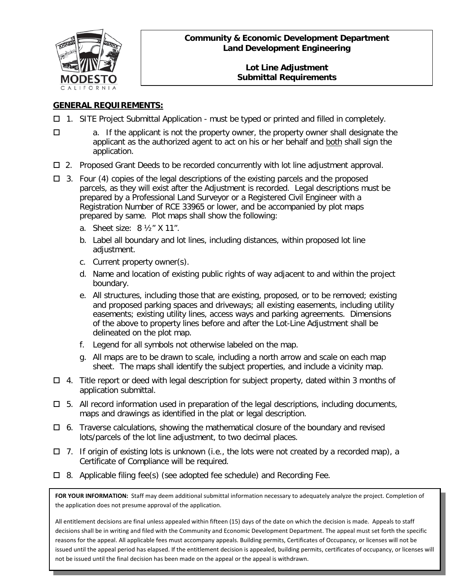

### **Community & Economic Development Department Land Development Engineering**

#### **Lot Line Adjustment Submittal Requirements**

## **GENERAL REQUIREMENTS:**

- $\Box$  1. SITE Project Submittal Application must be typed or printed and filled in completely.
- $\Box$  a. If the applicant is not the property owner, the property owner shall designate the applicant as the authorized agent to act on his or her behalf and both shall sign the application.
- $\Box$  2. Proposed Grant Deeds to be recorded concurrently with lot line adjustment approval.
- $\Box$  3. Four (4) copies of the legal descriptions of the existing parcels and the proposed parcels, as they will exist after the Adjustment is recorded. Legal descriptions must be prepared by a Professional Land Surveyor or a Registered Civil Engineer with a Registration Number of RCE 33965 or lower, and be accompanied by plot maps prepared by same. Plot maps shall show the following:
	- a. Sheet size: 8 ½" X 11".
	- b. Label all boundary and lot lines, including distances, within proposed lot line adjustment.
	- c. Current property owner(s).
	- d. Name and location of existing public rights of way adjacent to and within the project boundary.
	- e. All structures, including those that are existing, proposed, or to be removed; existing and proposed parking spaces and driveways; all existing easements, including utility easements; existing utility lines, access ways and parking agreements. Dimensions of the above to property lines before and after the Lot-Line Adjustment shall be delineated on the plot map.
	- f. Legend for all symbols not otherwise labeled on the map.
	- g. All maps are to be drawn to scale, including a north arrow and scale on each map sheet. The maps shall identify the subject properties, and include a vicinity map.
- $\Box$  4. Title report or deed with legal description for subject property, dated within 3 months of application submittal.
- $\Box$  5. All record information used in preparation of the legal descriptions, including documents, maps and drawings as identified in the plat or legal description.
- $\Box$  6. Traverse calculations, showing the mathematical closure of the boundary and revised lots/parcels of the lot line adjustment, to two decimal places.
- $\Box$  7. If origin of existing lots is unknown (i.e., the lots were not created by a recorded map), a Certificate of Compliance will be required.
- $\Box$  8. Applicable filing fee(s) (see adopted fee schedule) and Recording Fee.

**FOR YOUR INFORMATION:** Staff may deem additional submittal information necessary to adequately analyze the project. Completion of the application does not presume approval of the application.

All entitlement decisions are final unless appealed within fifteen (15) days of the date on which the decision is made. Appeals to staff decisions shall be in writing and filed with the Community and Economic Development Department. The appeal must set forth the specific reasons for the appeal. All applicable fees must accompany appeals. Building permits, Certificates of Occupancy, or licenses will not be issued until the appeal period has elapsed. If the entitlement decision is appealed, building permits, certificates of occupancy, or licenses will not be issued until the final decision has been made on the appeal or the appeal is withdrawn.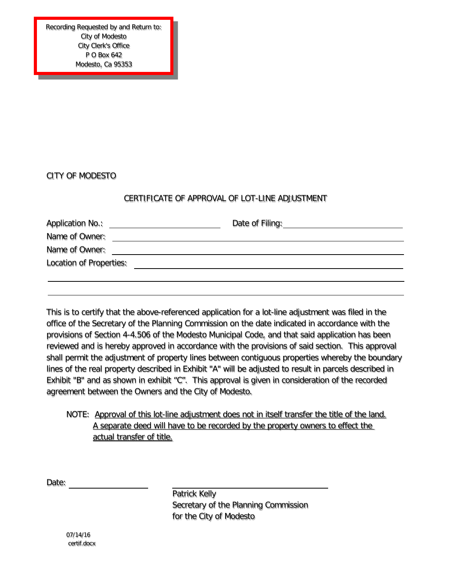Recording Requested by and Return to: City of Modesto City Clerk's Office P O Box 642 Modesto, Ca 95353

\_\_\_\_\_

### CITY OF MODESTO

#### CERTIFICATE OF APPROVAL OF LOT-LINE ADJUSTMENT

| <b>Application No.:</b>        | Date of Filing: |
|--------------------------------|-----------------|
| Name of Owner:                 |                 |
| Name of Owner:                 |                 |
| <b>Location of Properties:</b> |                 |
|                                |                 |

This is to certify that the above-referenced application for a lot-line adjustment was filed in the office of the Secretary of the Planning Commission on the date indicated in accordance with the provisions of Section 4-4.506 of the Modesto Municipal Code, and that said application has been reviewed and is hereby approved in accordance with the provisions of said section. This approval shall permit the adjustment of property lines between contiguous properties whereby the boundary lines of the real property described in Exhibit "A" will be adjusted to result in parcels described in Exhibit "B" and as shown in exhibit "C". This approval is given in consideration of the recorded agreement between the Owners and the City of Modesto.

# NOTE: Approval of this lot-line adjustment does not in itself transfer the title of the land. A separate deed will have to be recorded by the property owners to effect the actual transfer of title.

Date:

Patrick Kelly Secretary of the Planning Commission for the City of Modesto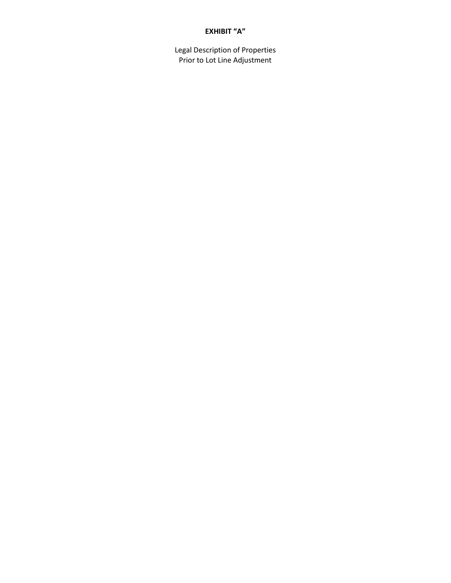#### **EXHIBIT "A"**

Legal Description of Properties Prior to Lot Line Adjustment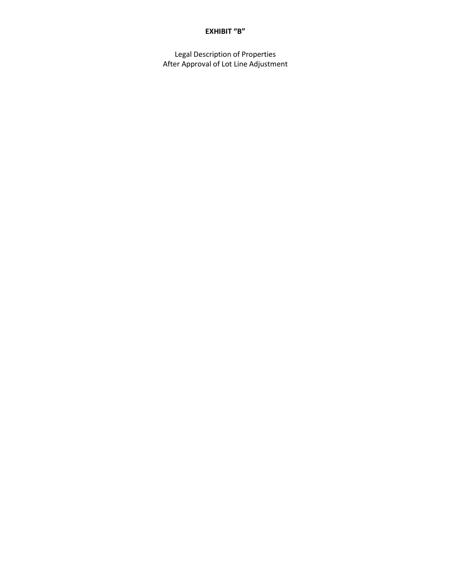#### **EXHIBIT "B"**

Legal Description of Properties After Approval of Lot Line Adjustment